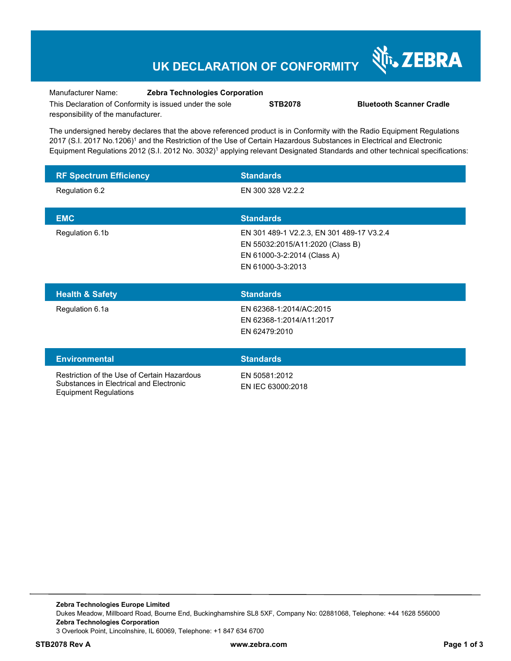## **UK DECLARATION OF CONFORMITY**



Equipment Regulations

Manufacturer Name: **Zebra Technologies Corporation** 

**STB2078 Bluetooth Scanner Cradle** 

This Declaration of Conformity is issued under the sole responsibility of the manufacturer.

The undersigned hereby declares that the above referenced product is in Conformity with the Radio Equipment Regulations 2017 (S.I. 2017 No.1206)<sup>1</sup> and the Restriction of the Use of Certain Hazardous Substances in Electrical and Electronic Equipment Regulations 2012 (S.I. 2012 No. 3032)<sup>1</sup> applying relevant Designated Standards and other technical specifications:

| <b>RF Spectrum Efficiency</b>                                                          | <b>Standards</b>                                                                                                                  |
|----------------------------------------------------------------------------------------|-----------------------------------------------------------------------------------------------------------------------------------|
| Regulation 6.2                                                                         | EN 300 328 V2.2.2                                                                                                                 |
| <b>EMC</b>                                                                             | <b>Standards</b>                                                                                                                  |
| Regulation 6.1b                                                                        | EN 301 489-1 V2.2.3, EN 301 489-17 V3.2.4<br>EN 55032:2015/A11:2020 (Class B)<br>EN 61000-3-2:2014 (Class A)<br>EN 61000-3-3:2013 |
| <b>Health &amp; Safety</b>                                                             | <b>Standards</b>                                                                                                                  |
| Regulation 6.1a                                                                        | EN 62368-1:2014/AC:2015<br>EN 62368-1:2014/A11:2017<br>EN 62479:2010                                                              |
| <b>Environmental</b>                                                                   | <b>Standards</b>                                                                                                                  |
| Restriction of the Use of Certain Hazardous<br>Substances in Electrical and Electronic | EN 50581:2012<br>EN IEC 63000:2018                                                                                                |

**Zebra Technologies Europe Limited**  Dukes Meadow, Millboard Road, Bourne End, Buckinghamshire SL8 5XF, Company No: 02881068, Telephone: +44 1628 556000 **Zebra Technologies Corporation**  3 Overlook Point, Lincolnshire, IL 60069, Telephone: +1 847 634 6700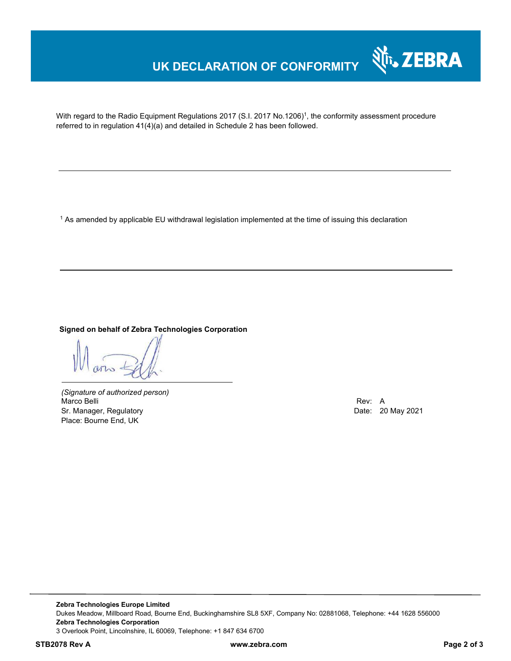# **UK DECLARATION OF CONFORMITY**



With regard to the Radio Equipment Regulations 2017 (S.I. 2017 No.1206)<sup>1</sup>, the conformity assessment procedure referred to in regulation 41(4)(a) and detailed in Schedule 2 has been followed.

1 As amended by applicable EU withdrawal legislation implemented at the time of issuing this declaration

#### **Signed on behalf of Zebra Technologies Corporation**

*(Signature of authorized person)* Marco Belli Rev: A Sr. Manager, Regulatory **Date: 20 May 2021** Place: Bourne End, UK